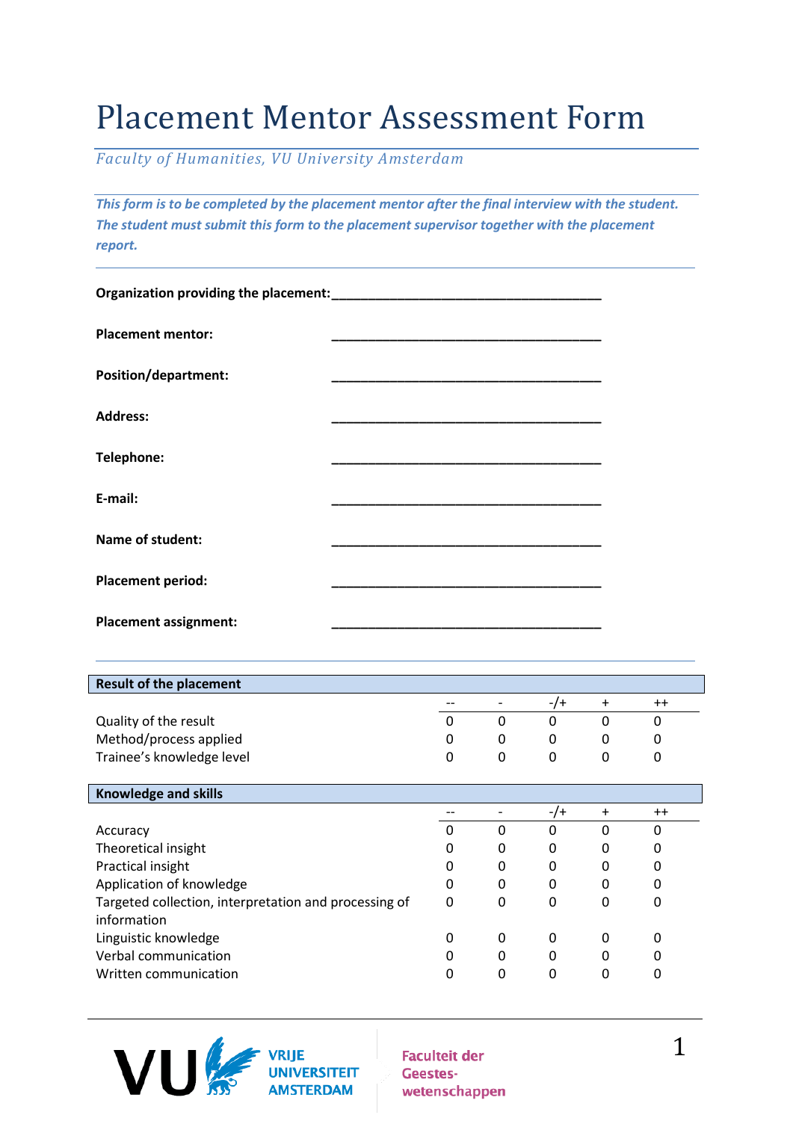## Placement Mentor Assessment Form

*Faculty of Humanities, VU University Amsterdam*

*This form is to be completed by the placement mentor after the final interview with the student. The student must submit this form to the placement supervisor together with the placement report.*

| <b>Placement mentor:</b>     |  |
|------------------------------|--|
| <b>Position/department:</b>  |  |
| <b>Address:</b>              |  |
| Telephone:                   |  |
| E-mail:                      |  |
| <b>Name of student:</b>      |  |
| <b>Placement period:</b>     |  |
| <b>Placement assignment:</b> |  |

| <b>Result of the placement</b> |   |          |  |
|--------------------------------|---|----------|--|
|                                |   | - 1      |  |
| Quality of the result          |   |          |  |
| Method/process applied         | 0 | 0        |  |
| Trainee's knowledge level      | 0 | $\theta$ |  |

| <b>Knowledge and skills</b>                           |   |   |     |          |      |  |
|-------------------------------------------------------|---|---|-----|----------|------|--|
|                                                       |   |   | -/+ | $\div$   | $++$ |  |
| Accuracy                                              |   | 0 | 0   | $\Omega$ | 0    |  |
| Theoretical insight                                   |   | 0 | 0   | 0        | 0    |  |
| Practical insight                                     | 0 | 0 | 0   | 0        |      |  |
| Application of knowledge                              | 0 | 0 | 0   | 0        |      |  |
| Targeted collection, interpretation and processing of | 0 | 0 | 0   |          | 0    |  |
| information                                           |   |   |     |          |      |  |
| Linguistic knowledge                                  |   | 0 | 0   | 0        | 0    |  |
| Verbal communication                                  |   | 0 | 0   | 0        |      |  |
| Written communication                                 |   | 0 | 0   |          |      |  |
|                                                       |   |   |     |          |      |  |



**Faculteit der** Geesteswetenschappen